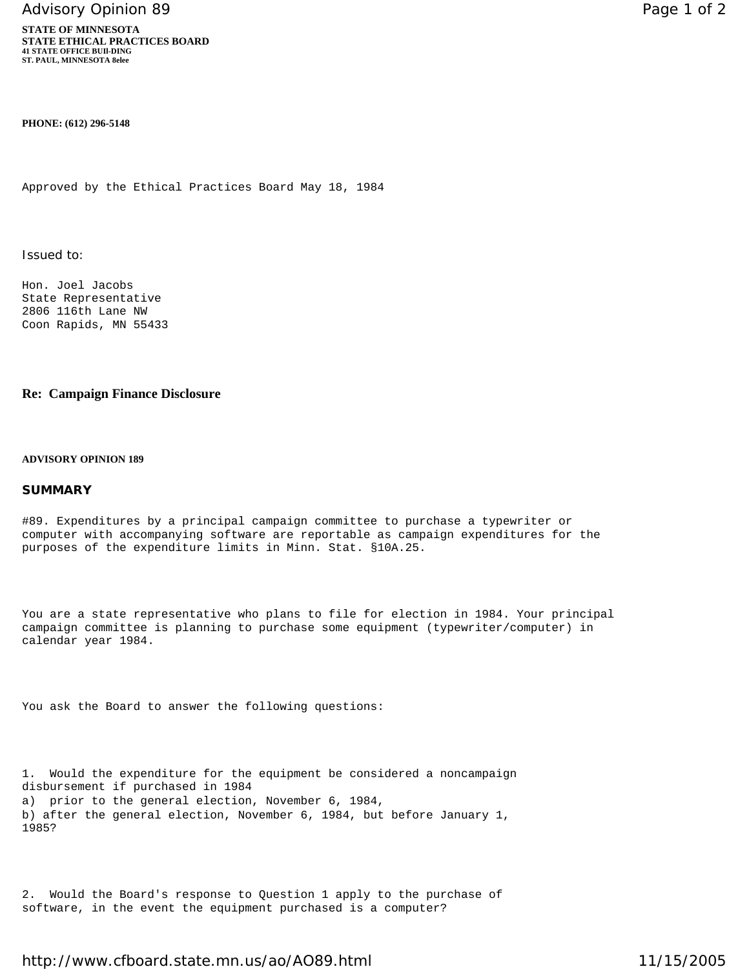Advisory Opinion 89 **Page 1 of 2** Page 1 of 2

**STATE OF MINNESOTA STATE ETHICAL PRACTICES BOARD 41 STATE OFFICE BUIl-DING ST. PAUL, MINNESOTA 8elee**

**PHONE: (612) 296-5148**

Approved by the Ethical Practices Board May 18, 1984

Issued to:

Hon. Joel Jacobs State Representative 2806 116th Lane NW Coon Rapids, MN 55433

## **Re: Campaign Finance Disclosure**

## **ADVISORY OPINION 189**

## **SUMMARY**

#89. Expenditures by a principal campaign committee to purchase a typewriter or computer with accompanying software are reportable as campaign expenditures for the purposes of the expenditure limits in Minn. Stat. §10A.25.

You are a state representative who plans to file for election in 1984. Your principal campaign committee is planning to purchase some equipment (typewriter/computer) in calendar year 1984.

You ask the Board to answer the following questions:

1. Would the expenditure for the equipment be considered a noncampaign disbursement if purchased in 1984 a) prior to the general election, November 6, 1984, b) after the general election, November 6, 1984, but before January 1, 1985?

2. Would the Board's response to Question 1 apply to the purchase of software, in the event the equipment purchased is a computer?